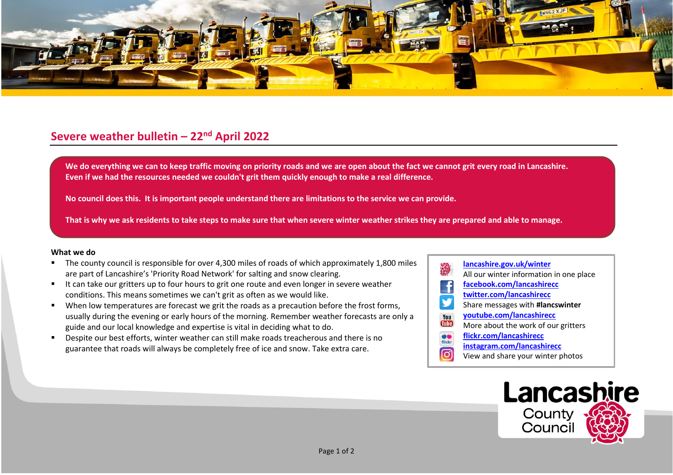

## **Severe weather bulletin – 22nd April 2022**

We do everything we can to keep traffic moving on priority roads and we are open about the fact we cannot grit every road in Lancashire. **Even if we had the resources needed we couldn't grit them quickly enough to make a real difference.**

**No council does this. It is important people understand there are limitations to the service we can provide.**

**That is why we ask residents to take steps to make sure that when severe winter weather strikes they are prepared and able to manage.**

## **What we do**

- The county council is responsible for over 4,300 miles of roads of which approximately 1,800 miles are part of Lancashire's 'Priority Road Network' for salting and snow clearing.
- It can take our gritters up to four hours to grit one route and even longer in severe weather conditions. This means sometimes we can't grit as often as we would like.
- When low temperatures are forecast we grit the roads as a precaution before the frost forms, usually during the evening or early hours of the morning. Remember weather forecasts are only a guide and our local knowledge and expertise is vital in deciding what to do.
- Despite our best efforts, winter weather can still make roads treacherous and there is no guarantee that roads will always be completely free of ice and snow. Take extra care.
- **[lancashire.gov.uk/winter](http://www.lancashire.gov.uk/winter)** All our winter information in one place **[facebook.com/lancashirecc](http://www.facebook.com/lancashirecc) [twitter.com/lancashirecc](http://www.twitter.com/lancashirecc)** y Share messages with **#lancswinter [youtube.com/lancashirecc](http://www.youtube.com/lancashirecc)** You **Tilte** More about the work of our gritters  $\bullet$ **[flickr.com/lancashirecc](http://www.flickr.com/lancashirecc)** flickr **[instagram.com/lancashirecc](http://www.instagram.com/lancashirecc)** ြင View and share your winter photos